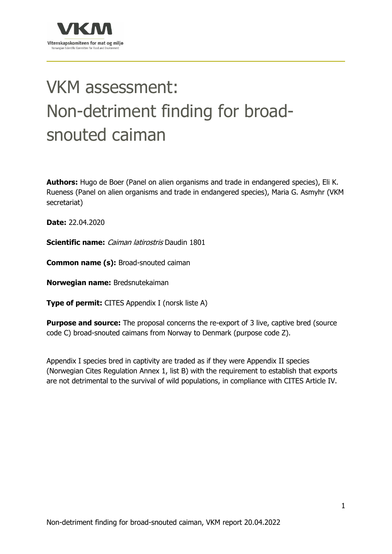

# VKM assessment: Non-detriment finding for broadsnouted caiman

**Authors:** Hugo de Boer (Panel on alien organisms and trade in endangered species), Eli K. Rueness (Panel on alien organisms and trade in endangered species), Maria G. Asmyhr (VKM secretariat)

**Date:** 22.04.2020

**Scientific name:** Caiman latirostris Daudin 1801

**Common name (s):** Broad-snouted caiman

**Norwegian name:** Bredsnutekaiman

**Type of permit:** CITES Appendix I (norsk liste A)

**Purpose and source:** The proposal concerns the re-export of 3 live, captive bred (source code C) broad-snouted caimans from Norway to Denmark (purpose code Z).

Appendix I species bred in captivity are traded as if they were Appendix II species (Norwegian Cites Regulation Annex 1, list B) with the requirement to establish that exports are not detrimental to the survival of wild populations, in compliance with CITES Article IV.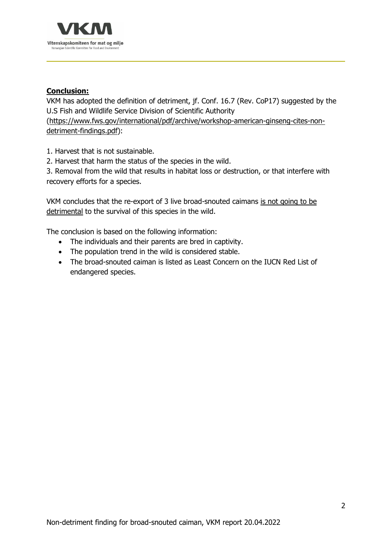

# **Conclusion:**

VKM has adopted the definition of detriment, jf. Conf. 16.7 (Rev. CoP17) suggested by the U.S Fish and Wildlife Service Division of Scientific Authority

(https://www.fws.gov/international/pdf/archive/workshop-american-ginseng-cites-nondetriment-findings.pdf):

1. Harvest that is not sustainable.

2. Harvest that harm the status of the species in the wild.

3. Removal from the wild that results in habitat loss or destruction, or that interfere with recovery efforts for a species.

VKM concludes that the re-export of 3 live broad-snouted caimans is not going to be detrimental to the survival of this species in the wild.

The conclusion is based on the following information:

- The individuals and their parents are bred in captivity.
- The population trend in the wild is considered stable.
- The broad-snouted caiman is listed as Least Concern on the IUCN Red List of endangered species.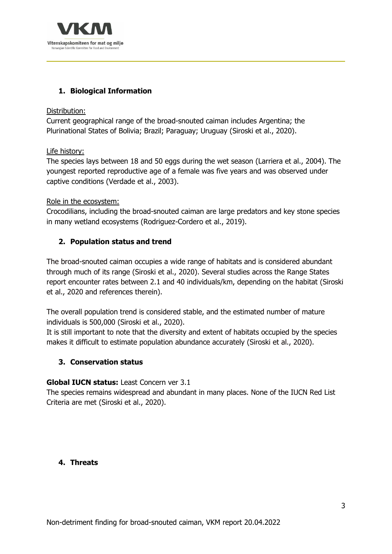

# **1. Biological Information**

#### Distribution:

Current geographical range of the broad-snouted caiman includes Argentina; the Plurinational States of Bolivia; Brazil; Paraguay; Uruguay (Siroski et al., 2020).

#### Life history:

The species lays between 18 and 50 eggs during the wet season (Larriera et al., 2004). The youngest reported reproductive age of a female was five years and was observed under captive conditions (Verdade et al., 2003).

#### Role in the ecosystem:

Crocodilians, including the broad-snouted caiman are large predators and key stone species in many wetland ecosystems (Rodriguez-Cordero et al., 2019).

# **2. Population status and trend**

The broad-snouted caiman occupies a wide range of habitats and is considered abundant through much of its range (Siroski et al., 2020). Several studies across the Range States report encounter rates between 2.1 and 40 individuals/km, depending on the habitat (Siroski et al., 2020 and references therein).

The overall population trend is considered stable, and the estimated number of mature individuals is 500,000 (Siroski et al., 2020).

It is still important to note that the diversity and extent of habitats occupied by the species makes it difficult to estimate population abundance accurately (Siroski et al., 2020).

# **3. Conservation status**

# **Global IUCN status:** Least Concern ver 3.1

The species remains widespread and abundant in many places. None of the IUCN Red List Criteria are met (Siroski et al., 2020).

# **4. Threats**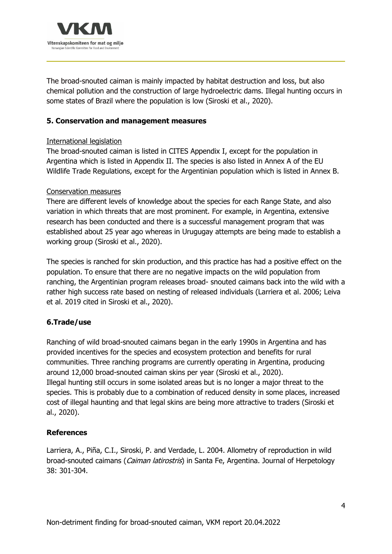

The broad-snouted caiman is mainly impacted by habitat destruction and loss, but also chemical pollution and the construction of large hydroelectric dams. Illegal hunting occurs in some states of Brazil where the population is low (Siroski et al., 2020).

# **5. Conservation and management measures**

#### International legislation

The broad-snouted caiman is listed in CITES Appendix I, except for the population in Argentina which is listed in Appendix II. The species is also listed in Annex A of the EU Wildlife Trade Regulations, except for the Argentinian population which is listed in Annex B.

#### Conservation measures

There are different levels of knowledge about the species for each Range State, and also variation in which threats that are most prominent. For example, in Argentina, extensive research has been conducted and there is a successful management program that was established about 25 year ago whereas in Urugugay attempts are being made to establish a working group (Siroski et al., 2020).

The species is ranched for skin production, and this practice has had a positive effect on the population. To ensure that there are no negative impacts on the wild population from ranching, the Argentinian program releases broad- snouted caimans back into the wild with a rather high success rate based on nesting of released individuals (Larriera et al. 2006; Leiva et al. 2019 cited in Siroski et al., 2020).

# **6.Trade/use**

Ranching of wild broad-snouted caimans began in the early 1990s in Argentina and has provided incentives for the species and ecosystem protection and benefits for rural communities. Three ranching programs are currently operating in Argentina, producing around 12,000 broad-snouted caiman skins per year (Siroski et al., 2020). Illegal hunting still occurs in some isolated areas but is no longer a major threat to the species. This is probably due to a combination of reduced density in some places, increased cost of illegal haunting and that legal skins are being more attractive to traders (Siroski et al., 2020).

# **References**

Larriera, A., Piña, C.I., Siroski, P. and Verdade, L. 2004. Allometry of reproduction in wild broad-snouted caimans (*Caiman latirostris*) in Santa Fe, Argentina. Journal of Herpetology 38: 301-304.